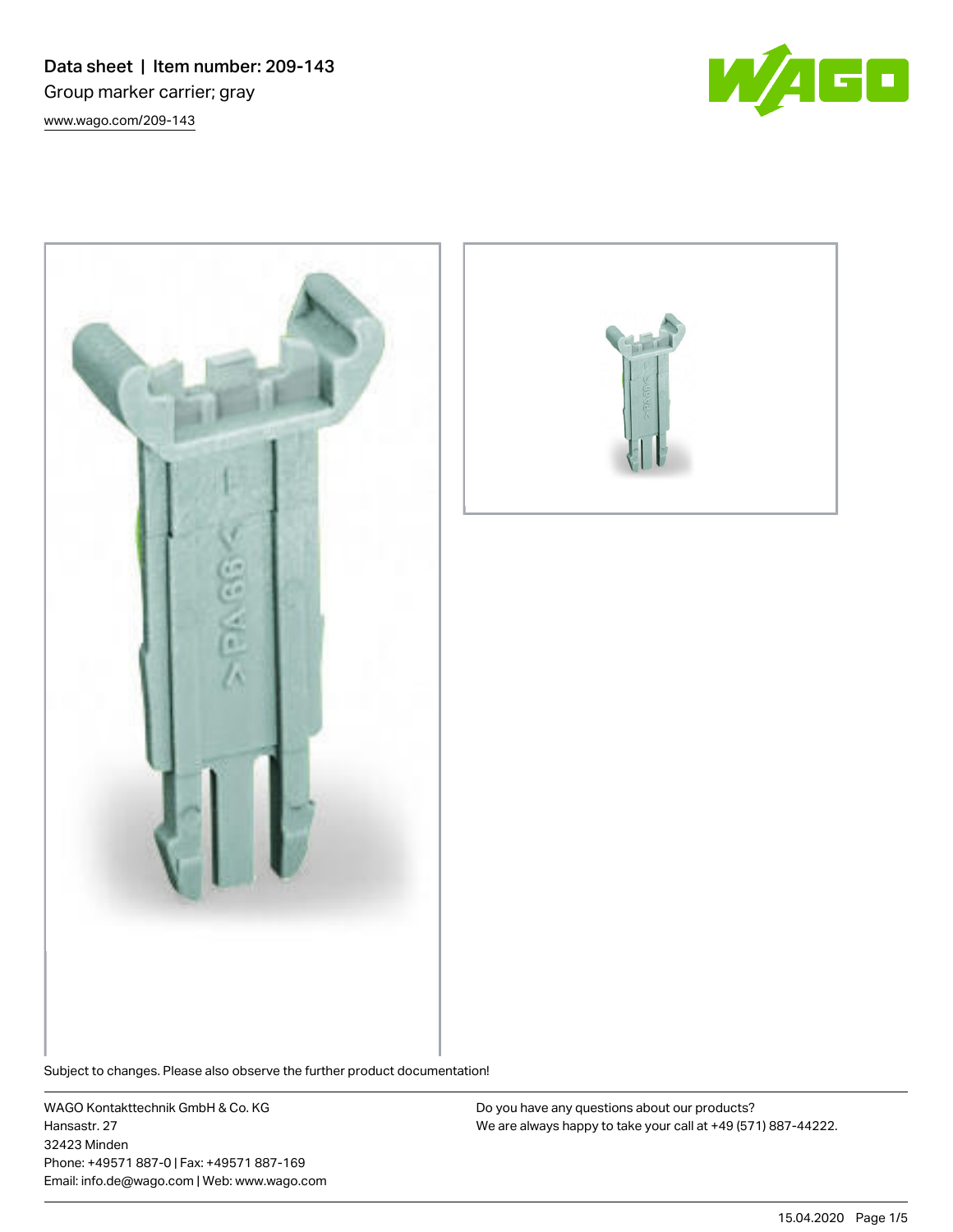Data sheet | Item number: 209-143 Group marker carrier; gray [www.wago.com/209-143](http://www.wago.com/209-143)







Subject to changes. Please also observe the further product documentation!

WAGO Kontakttechnik GmbH & Co. KG Hansastr. 27 32423 Minden Phone: +49571 887-0 | Fax: +49571 887-169 Email: info.de@wago.com | Web: www.wago.com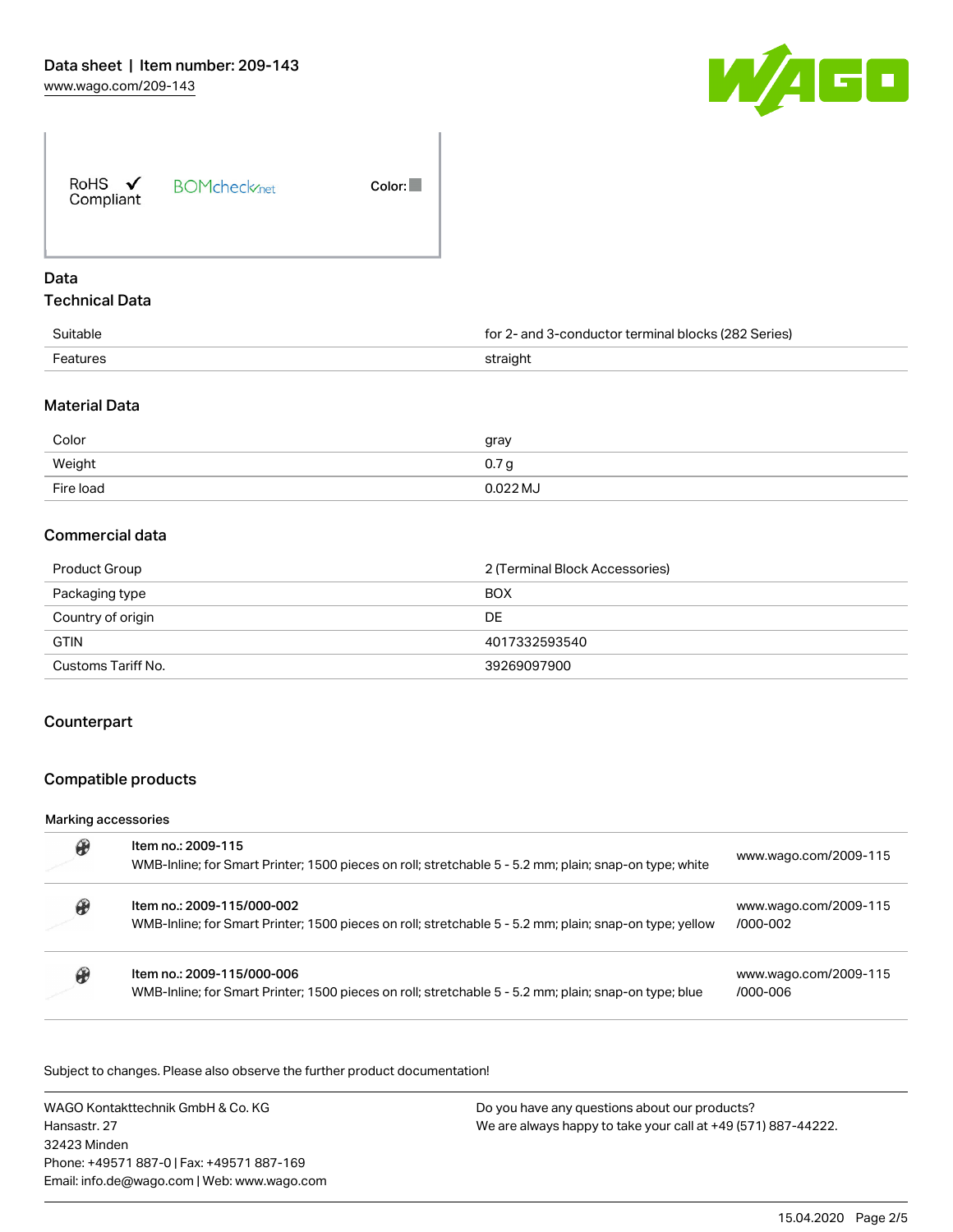

| RoHS $\checkmark$<br>Compliant | <b>BOMcheck</b> <sub>net</sub> | Color: |
|--------------------------------|--------------------------------|--------|
| Data                           |                                |        |

## Technical Data

| Suitable | - and 3-conductor terminal blocks (282 Series)<br>tor : |
|----------|---------------------------------------------------------|
| Features | straight                                                |

## Material Data

| Color     | gray             |
|-----------|------------------|
| Weight    | 0.7 <sub>g</sub> |
| Fire load | 0.022 MJ         |

# Commercial data

| Product Group      | 2 (Terminal Block Accessories) |
|--------------------|--------------------------------|
| Packaging type     | <b>BOX</b>                     |
| Country of origin  | DE                             |
| <b>GTIN</b>        | 4017332593540                  |
| Customs Tariff No. | 39269097900                    |

### **Counterpart**

# Compatible products

### Marking accessories

| Item no.: 2009-115<br>WMB-Inline; for Smart Printer; 1500 pieces on roll; stretchable 5 - 5.2 mm; plain; snap-on type; white          | www.wago.com/2009-115             |
|---------------------------------------------------------------------------------------------------------------------------------------|-----------------------------------|
| Item no.: 2009-115/000-002<br>WMB-Inline; for Smart Printer; 1500 pieces on roll; stretchable 5 - 5.2 mm; plain; snap-on type; yellow | www.wago.com/2009-115<br>/000-002 |
| Item no.: 2009-115/000-006<br>WMB-Inline; for Smart Printer; 1500 pieces on roll; stretchable 5 - 5.2 mm; plain; snap-on type; blue   | www.wago.com/2009-115<br>/000-006 |

Subject to changes. Please also observe the further product documentation!

WAGO Kontakttechnik GmbH & Co. KG Hansastr. 27 32423 Minden Phone: +49571 887-0 | Fax: +49571 887-169 Email: info.de@wago.com | Web: www.wago.com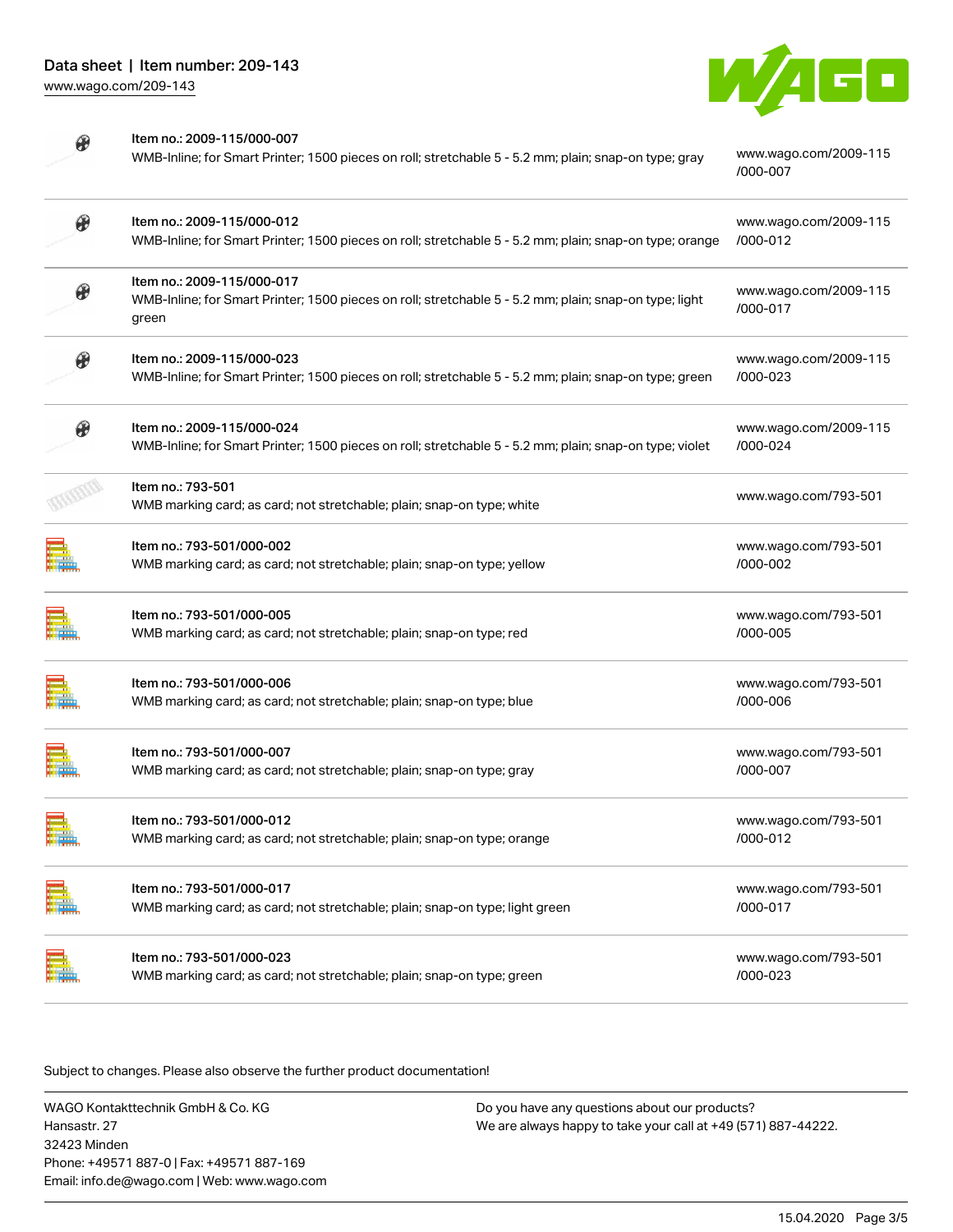

[/000-007](http://www.wago.com/2009-115/000-007)

| Hay.<br>Hay            |  |
|------------------------|--|
| n.<br>H<br><b>PART</b> |  |

| Item no.: 2009-115/000-007                                                                            |                       |
|-------------------------------------------------------------------------------------------------------|-----------------------|
| WMB-Inline; for Smart Printer; 1500 pieces on roll; stretchable 5 - 5.2 mm; plain; snap-on type; gray | www.wago.com/2009-115 |

| $\boldsymbol{\theta}$ | Item no.: 2009-115/000-012<br>WMB-Inline; for Smart Printer; 1500 pieces on roll; stretchable 5 - 5.2 mm; plain; snap-on type; orange         | www.wago.com/2009-115<br>/000-012 |
|-----------------------|-----------------------------------------------------------------------------------------------------------------------------------------------|-----------------------------------|
|                       | Item no.: 2009-115/000-017<br>WMB-Inline; for Smart Printer; 1500 pieces on roll; stretchable 5 - 5.2 mm; plain; snap-on type; light<br>green | www.wago.com/2009-115<br>/000-017 |
| $\mathcal{Q}$         | Item no.: 2009-115/000-023<br>WMB-Inline; for Smart Printer; 1500 pieces on roll; stretchable 5 - 5.2 mm; plain; snap-on type; green          | www.wago.com/2009-115<br>/000-023 |
| $\boldsymbol{\theta}$ | Item no.: 2009-115/000-024<br>WMB-Inline; for Smart Printer; 1500 pieces on roll; stretchable 5 - 5.2 mm; plain; snap-on type; violet         | www.wago.com/2009-115<br>/000-024 |
|                       | Item no.: 793-501<br>WMB marking card; as card; not stretchable; plain; snap-on type; white                                                   | www.wago.com/793-501              |
|                       | Item no.: 793-501/000-002<br>WMB marking card; as card; not stretchable; plain; snap-on type; yellow                                          | www.wago.com/793-501<br>/000-002  |
|                       | Item no.: 793-501/000-005<br>WMB marking card; as card; not stretchable; plain; snap-on type; red                                             | www.wago.com/793-501<br>/000-005  |
|                       | Item no.: 793-501/000-006<br>WMB marking card; as card; not stretchable; plain; snap-on type; blue                                            | www.wago.com/793-501<br>/000-006  |
|                       | Item no.: 793-501/000-007<br>WMB marking card; as card; not stretchable; plain; snap-on type; gray                                            | www.wago.com/793-501<br>/000-007  |
|                       | Item no.: 793-501/000-012<br>WMB marking card; as card; not stretchable; plain; snap-on type; orange                                          | www.wago.com/793-501<br>/000-012  |
|                       | Item no.: 793-501/000-017<br>WMB marking card; as card; not stretchable; plain; snap-on type; light green                                     | www.wago.com/793-501<br>/000-017  |
|                       | Item no.: 793-501/000-023<br>WMB marking card; as card; not stretchable; plain; snap-on type; green                                           | www.wago.com/793-501<br>/000-023  |
|                       |                                                                                                                                               |                                   |

Subject to changes. Please also observe the further product documentation!

WAGO Kontakttechnik GmbH & Co. KG Hansastr. 27 32423 Minden Phone: +49571 887-0 | Fax: +49571 887-169 Email: info.de@wago.com | Web: www.wago.com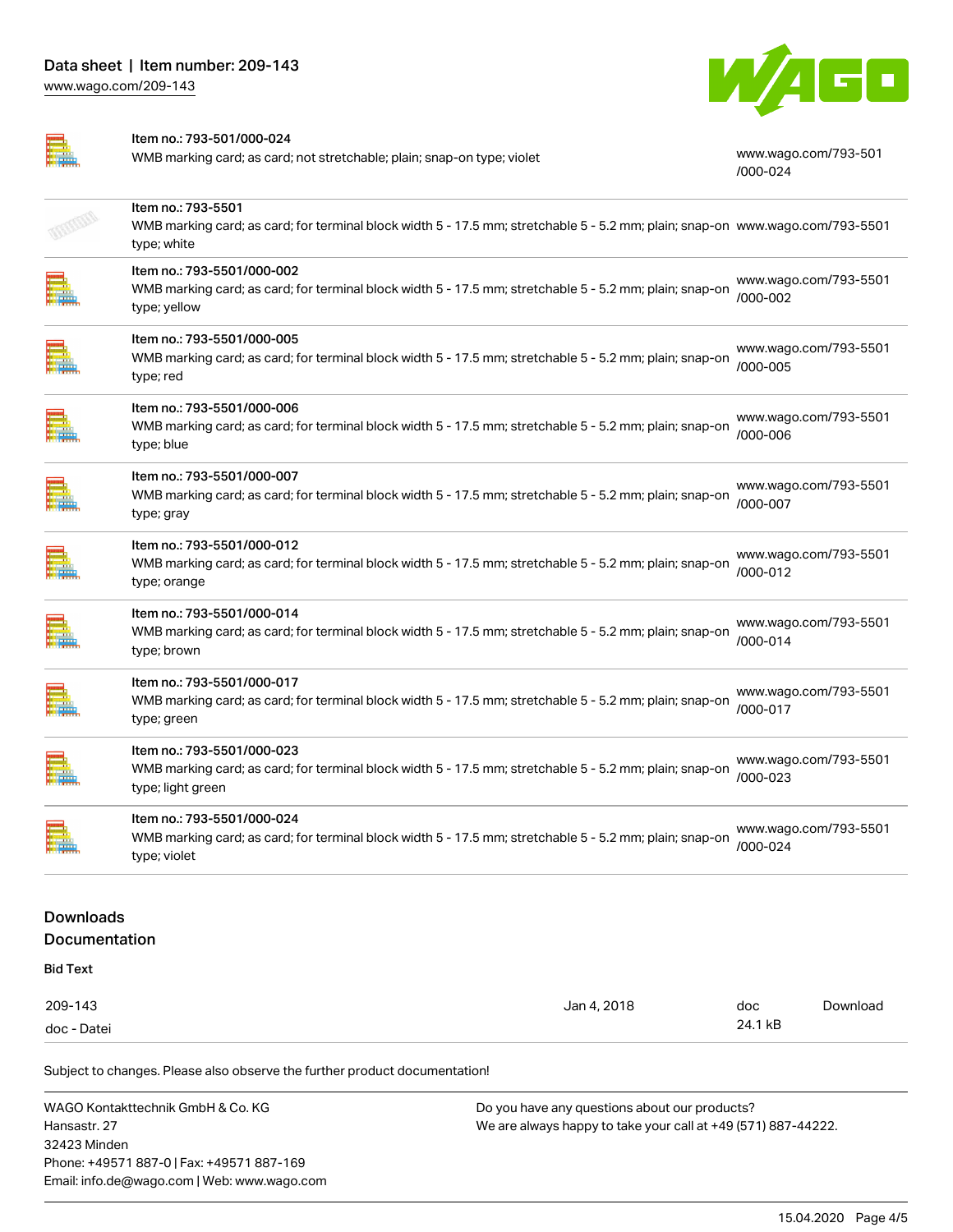

|                                          | Item no.: 793-501/000-024<br>WMB marking card; as card; not stretchable; plain; snap-on type; violet                                                               | www.wago.com/793-501<br>/000-024  |
|------------------------------------------|--------------------------------------------------------------------------------------------------------------------------------------------------------------------|-----------------------------------|
|                                          | Item no.: 793-5501<br>WMB marking card; as card; for terminal block width 5 - 17.5 mm; stretchable 5 - 5.2 mm; plain; snap-on www.wago.com/793-5501<br>type; white |                                   |
|                                          | Item no.: 793-5501/000-002<br>WMB marking card; as card; for terminal block width 5 - 17.5 mm; stretchable 5 - 5.2 mm; plain; snap-on<br>type; yellow              | www.wago.com/793-5501<br>/000-002 |
|                                          | Item no.: 793-5501/000-005<br>WMB marking card; as card; for terminal block width 5 - 17.5 mm; stretchable 5 - 5.2 mm; plain; snap-on<br>type; red                 | www.wago.com/793-5501<br>/000-005 |
|                                          | Item no.: 793-5501/000-006<br>WMB marking card; as card; for terminal block width 5 - 17.5 mm; stretchable 5 - 5.2 mm; plain; snap-on<br>type; blue                | www.wago.com/793-5501<br>/000-006 |
|                                          | Item no.: 793-5501/000-007<br>WMB marking card; as card; for terminal block width 5 - 17.5 mm; stretchable 5 - 5.2 mm; plain; snap-on<br>type; gray                | www.wago.com/793-5501<br>/000-007 |
|                                          | Item no.: 793-5501/000-012<br>WMB marking card; as card; for terminal block width 5 - 17.5 mm; stretchable 5 - 5.2 mm; plain; snap-on<br>type; orange              | www.wago.com/793-5501<br>/000-012 |
|                                          | Item no.: 793-5501/000-014<br>WMB marking card; as card; for terminal block width 5 - 17.5 mm; stretchable 5 - 5.2 mm; plain; snap-on<br>type; brown               | www.wago.com/793-5501<br>/000-014 |
|                                          | Item no.: 793-5501/000-017<br>WMB marking card; as card; for terminal block width 5 - 17.5 mm; stretchable 5 - 5.2 mm; plain; snap-on<br>type; green               | www.wago.com/793-5501<br>/000-017 |
|                                          | Item no.: 793-5501/000-023<br>WMB marking card; as card; for terminal block width 5 - 17.5 mm; stretchable 5 - 5.2 mm; plain; snap-on<br>type; light green         | www.wago.com/793-5501<br>/000-023 |
| <u>mmm</u>                               | Item no.: 793-5501/000-024<br>WMB marking card; as card; for terminal block width 5 - 17.5 mm; stretchable 5 - 5.2 mm; plain; snap-on<br>type; violet              | www.wago.com/793-5501<br>/000-024 |
| <b>Downloads</b><br><b>Documentation</b> |                                                                                                                                                                    |                                   |

Bid Text

| 209-143     | . 2018<br>Jan 4 | doc<br>$  -$ | Download |
|-------------|-----------------|--------------|----------|
| doc - Datei |                 | 24.1 kB      |          |

Subject to changes. Please also observe the further product documentation!

| WAGO Kontakttechnik GmbH & Co. KG           | Do you have any questions about our products?                 |
|---------------------------------------------|---------------------------------------------------------------|
| Hansastr. 27                                | We are always happy to take your call at +49 (571) 887-44222. |
| 32423 Minden                                |                                                               |
| Phone: +49571 887-0   Fax: +49571 887-169   |                                                               |
| Email: info.de@wago.com   Web: www.wago.com |                                                               |